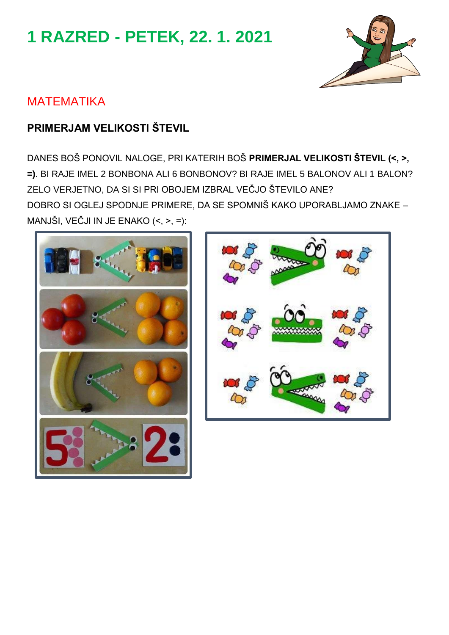# **1 RAZRED - PETEK, 22. 1. 2021**



# MATEMATIKA

# **PRIMERJAM VELIKOSTI ŠTEVIL**

DANES BOŠ PONOVIL NALOGE, PRI KATERIH BOŠ **PRIMERJAL VELIKOSTI ŠTEVIL (<, >, =)**. BI RAJE IMEL 2 BONBONA ALI 6 BONBONOV? BI RAJE IMEL 5 BALONOV ALI 1 BALON? ZELO VERJETNO, DA SI SI PRI OBOJEM IZBRAL VEČJO ŠTEVILO ANE? DOBRO SI OGLEJ SPODNJE PRIMERE, DA SE SPOMNIŠ KAKO UPORABLJAMO ZNAKE – MANJŠI, VEČJI IN JE ENAKO (<, >, =):



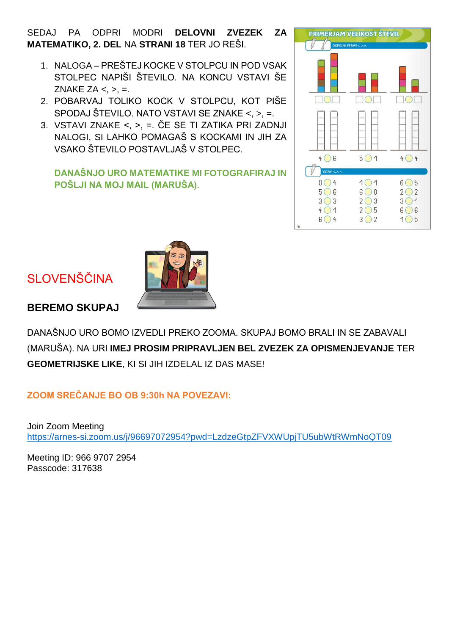SEDAJ PA ODPRI MODRI **DELOVNI ZVEZEK ZA MATEMATIKO, 2. DEL** NA **STRANI 18** TER JO REŠI.

- 1. NALOGA PREŠTEJ KOCKE V STOLPCU IN POD VSAK STOLPEC NAPIŠI ŠTEVILO. NA KONCU VSTAVI ŠE ZNAKE ZA  $lt;$ ,  $gt;$ ,  $=$ .
- 2. POBARVAJ TOLIKO KOCK V STOLPCU, KOT PIŠE SPODAJ ŠTEVILO. NATO VSTAVI SE ZNAKE <, >, =.
- 3. VSTAVI ZNAKE <, >, =. ČE SE TI ZATIKA PRI ZADNJI NALOGI, SI LAHKO POMAGAŠ S KOCKAMI IN JIH ZA VSAKO ŠTEVILO POSTAVLJAŠ V STOLPEC.

#### **DANAŠNJO URO MATEMATIKE MI FOTOGRAFIRAJ IN POŠLJI NA MOJ MAIL (MARUŠA).**



# SLOVENŠČINA

#### **BEREMO SKUPAJ**

DANAŠNJO URO BOMO IZVEDLI PREKO ZOOMA. SKUPAJ BOMO BRALI IN SE ZABAVALI (MARUŠA). NA URI **IMEJ PROSIM PRIPRAVLJEN BEL ZVEZEK ZA OPISMENJEVANJE** TER **GEOMETRIJSKE LIKE**, KI SI JIH IZDELAL IZ DAS MASE!

#### **ZOOM SREČANJE BO OB 9:30h NA POVEZAVI:**

Join Zoom Meeting <https://arnes-si.zoom.us/j/96697072954?pwd=LzdzeGtpZFVXWUpjTU5ubWtRWmNoQT09>

Meeting ID: 966 9707 2954 Passcode: 317638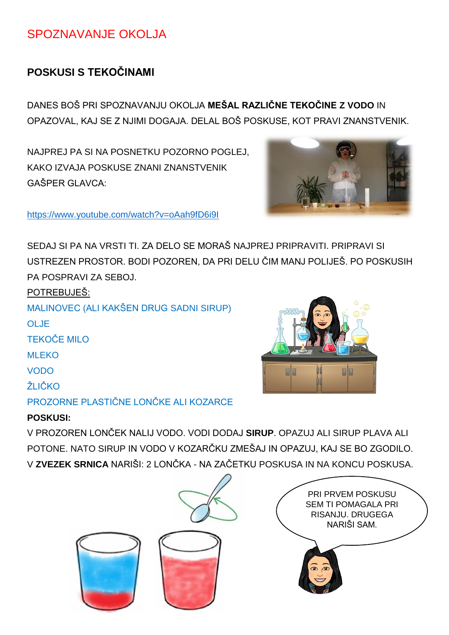## SPOZNAVANJE OKOLJA

### **POSKUSI S TEKOČINAMI**

DANES BOŠ PRI SPOZNAVANJU OKOLJA **MEŠAL RAZLIČNE TEKOČINE Z VODO** IN OPAZOVAL, KAJ SE Z NJIMI DOGAJA. DELAL BOŠ POSKUSE, KOT PRAVI ZNANSTVENIK.

NAJPREJ PA SI NA POSNETKU POZORNO POGLEJ, KAKO IZVAJA POSKUSE ZNANI ZNANSTVENIK GAŠPER GLAVCA:



<https://www.youtube.com/watch?v=oAah9fD6i9I>

SEDAJ SI PA NA VRSTI TI. ZA DELO SE MORAŠ NAJPREJ PRIPRAVITI. PRIPRAVI SI. USTREZEN PROSTOR. BODI POZOREN, DA PRI DELU ČIM MANJ POLIJEŠ. PO POSKUSIH PA POSPRAVI ZA SEBOJ.

POTREBUJEŠ: MALINOVEC (ALI KAKŠEN DRUG SADNI SIRUP) OLJE TEKOČE MILO ML**EKO** VODO ŽLIČKO PROZORNE PLASTIČNE LONČKE ALI KOZARCE

### **POSKUSI:**



V PROZOREN LONČEK NALIJ VODO. VODI DODAJ **SIRUP**. OPAZUJ ALI SIRUP PLAVA ALI POTONE. NATO SIRUP IN VODO V KOZARČKU ZMEŠAJ IN OPAZUJ, KAJ SE BO ZGODILO. V **ZVEZEK SRNICA** NARIŠI: 2 LONČKA - NA ZAČETKU POSKUSA IN NA KONCU POSKUSA.